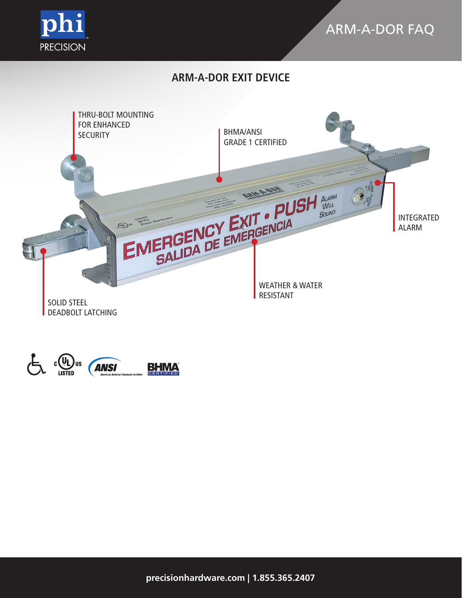

# ARM-A-DOR FAQ

# **ARM-A-DOR EXIT DEVICE**